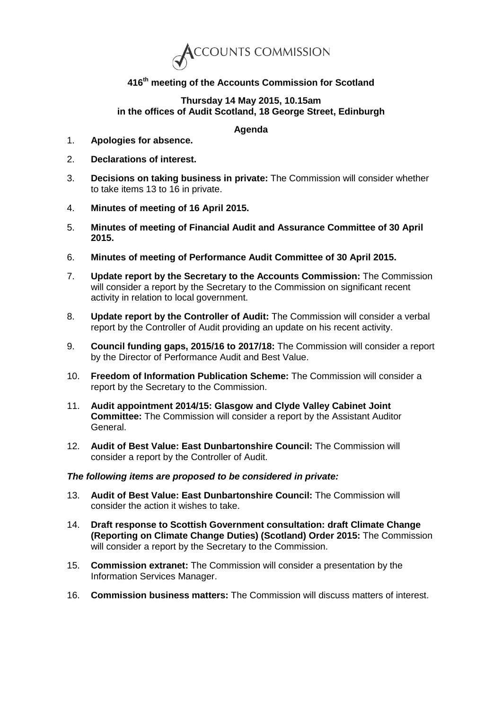

## **416th meeting of the Accounts Commission for Scotland**

## **Thursday 14 May 2015, 10.15am in the offices of Audit Scotland, 18 George Street, Edinburgh**

## **Agenda**

- 1. **Apologies for absence.**
- 2. **Declarations of interest.**
- 3. **Decisions on taking business in private:** The Commission will consider whether to take items 13 to 16 in private.
- 4. **Minutes of meeting of 16 April 2015.**
- 5. **Minutes of meeting of Financial Audit and Assurance Committee of 30 April 2015.**
- 6. **Minutes of meeting of Performance Audit Committee of 30 April 2015.**
- 7. **Update report by the Secretary to the Accounts Commission:** The Commission will consider a report by the Secretary to the Commission on significant recent activity in relation to local government.
- 8. **Update report by the Controller of Audit:** The Commission will consider a verbal report by the Controller of Audit providing an update on his recent activity.
- 9. **Council funding gaps, 2015/16 to 2017/18:** The Commission will consider a report by the Director of Performance Audit and Best Value.
- 10. **Freedom of Information Publication Scheme:** The Commission will consider a report by the Secretary to the Commission.
- 11. **Audit appointment 2014/15: Glasgow and Clyde Valley Cabinet Joint Committee:** The Commission will consider a report by the Assistant Auditor General.
- 12. **Audit of Best Value: East Dunbartonshire Council:** The Commission will consider a report by the Controller of Audit.

## *The following items are proposed to be considered in private:*

- 13. **Audit of Best Value: East Dunbartonshire Council:** The Commission will consider the action it wishes to take.
- 14. **Draft response to Scottish Government consultation: draft Climate Change (Reporting on Climate Change Duties) (Scotland) Order 2015:** The Commission will consider a report by the Secretary to the Commission.
- 15. **Commission extranet:** The Commission will consider a presentation by the Information Services Manager.
- 16. **Commission business matters:** The Commission will discuss matters of interest.